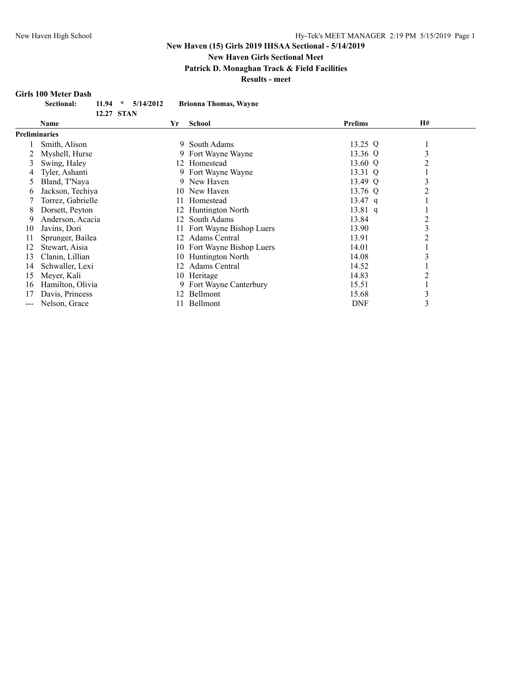**New Haven Girls Sectional Meet**

**Patrick D. Monaghan Track & Field Facilities**

**Results - meet**

#### **Girls 100 Meter Dash**

| <b>Sectional:</b> |            | $11.94 \div 5/14/2012$ | Brionna Thomas, Wayne |
|-------------------|------------|------------------------|-----------------------|
|                   | 12.27 STAN |                        |                       |

|               | Name              | Yr  | School                     | <b>Prelims</b>    | H#             |  |
|---------------|-------------------|-----|----------------------------|-------------------|----------------|--|
| Preliminaries |                   |     |                            |                   |                |  |
|               | Smith, Alison     |     | 9 South Adams              | 13.25 Q           |                |  |
|               | Myshell, Hurse    |     | 9 Fort Wayne Wayne         | 13.36 Q           | 3              |  |
| 3             | Swing, Haley      |     | 12 Homestead               | 13.60 Q           | 2              |  |
| 4             | Tyler, Ashanti    |     | 9 Fort Wayne Wayne         | 13.31 Q           |                |  |
| 5             | Bland, T'Naya     |     | 9 New Haven                | 13.49 Q           | 3              |  |
| 6             | Jackson, Techiya  |     | 10 New Haven               | 13.76 Q           | $\overline{2}$ |  |
|               | Torrez, Gabrielle | 11. | Homestead                  | $13.47 \text{ q}$ |                |  |
| 8             | Dorsett, Peyton   |     | 12 Huntington North        | $13.81 \text{ q}$ |                |  |
| 9             | Anderson, Acacia  |     | 12 South Adams             | 13.84             | 2              |  |
| 10            | Javins, Dori      |     | 11 Fort Wayne Bishop Luers | 13.90             | 3              |  |
| 11            | Sprunger, Bailea  | 12. | Adams Central              | 13.91             | 2              |  |
| 12            | Stewart, Aisia    |     | 10 Fort Wayne Bishop Luers | 14.01             |                |  |
| 13            | Clanin, Lillian   | 10  | Huntington North           | 14.08             | 3              |  |
| 14            | Schwaller, Lexi   | 12  | Adams Central              | 14.52             |                |  |
| 15            | Meyer, Kali       |     | 10 Heritage                | 14.83             | 2              |  |
| 16            | Hamilton, Olivia  |     | 9 Fort Wayne Canterbury    | 15.51             |                |  |
| 17            | Davis, Princess   | 12. | Bellmont                   | 15.68             | 3              |  |
| ---           | Nelson, Grace     |     | Bellmont                   | <b>DNF</b>        | 3              |  |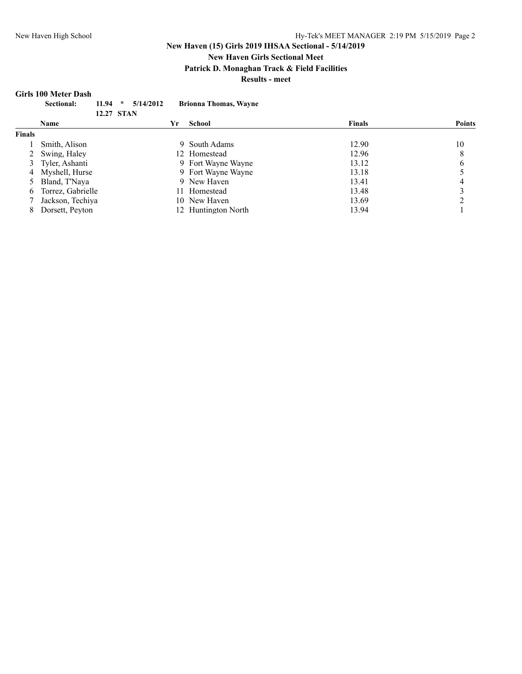**New Haven Girls Sectional Meet**

**Patrick D. Monaghan Track & Field Facilities**

**Results - meet**

#### **Girls 100 Meter Dash**

| <b>Sectional:</b> | 11.94                            | 5/14/2012<br>$\star$                  |            |           |                                                                                                                                                                        |               |
|-------------------|----------------------------------|---------------------------------------|------------|-----------|------------------------------------------------------------------------------------------------------------------------------------------------------------------------|---------------|
|                   |                                  |                                       |            |           |                                                                                                                                                                        |               |
| <b>Name</b>       |                                  |                                       | Yr         | School    | <b>Finals</b>                                                                                                                                                          | <b>Points</b> |
|                   |                                  |                                       |            |           |                                                                                                                                                                        |               |
| Smith, Alison     |                                  |                                       |            |           | 12.90                                                                                                                                                                  | 10            |
|                   |                                  |                                       |            |           | 12.96                                                                                                                                                                  | 8             |
|                   |                                  |                                       |            |           | 13.12                                                                                                                                                                  | 6             |
| Myshell, Hurse    |                                  |                                       |            |           | 13.18                                                                                                                                                                  |               |
| Bland, T'Nava     |                                  |                                       |            |           | 13.41                                                                                                                                                                  | 4             |
|                   |                                  |                                       |            | Homestead | 13.48                                                                                                                                                                  |               |
|                   |                                  |                                       |            |           | 13.69                                                                                                                                                                  |               |
| Dorsett, Peyton   |                                  |                                       |            |           | 13.94                                                                                                                                                                  |               |
|                   | 2 Swing, Haley<br>Tyler, Ashanti | Torrez, Gabrielle<br>Jackson, Techiya | 12.27 STAN |           | <b>Brionna Thomas, Wayne</b><br>9 South Adams<br>12 Homestead<br>9 Fort Wayne Wayne<br>9 Fort Wayne Wayne<br>9 New Haven<br>11.<br>10 New Haven<br>12 Huntington North |               |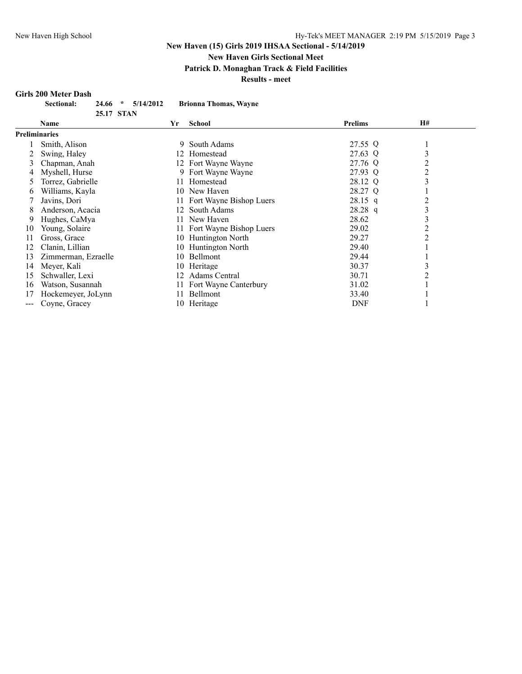**New Haven Girls Sectional Meet**

**Patrick D. Monaghan Track & Field Facilities**

**Results - meet**

#### **Girls 200 Meter Dash**

| <b>Sectional:</b> |            | $24.66$ * $5/14/2012$ | <b>Brionna Thomas, Wayne</b> |
|-------------------|------------|-----------------------|------------------------------|
|                   | 25.17 STAN |                       |                              |

|                      | Name                | Yr | <b>School</b>              | <b>Prelims</b> | <b>H#</b>      |  |
|----------------------|---------------------|----|----------------------------|----------------|----------------|--|
| <b>Preliminaries</b> |                     |    |                            |                |                |  |
|                      | Smith, Alison       | 9  | South Adams                | 27.55 Q        |                |  |
|                      | Swing, Haley        |    | 12 Homestead               | 27.63 Q        | 3              |  |
| 3                    | Chapman, Anah       |    | 12 Fort Wayne Wayne        | 27.76 Q        | 2              |  |
| 4                    | Myshell, Hurse      |    | 9 Fort Wayne Wayne         | 27.93 Q        | 2              |  |
| 5                    | Torrez, Gabrielle   | 11 | Homestead                  | 28.12 Q        | 3              |  |
| 6                    | Williams, Kavla     | 10 | New Haven                  | 28.27 Q        |                |  |
|                      | Javins, Dori        |    | 11 Fort Wayne Bishop Luers | $28.15$ q      | 2              |  |
| 8                    | Anderson, Acacia    |    | 12 South Adams             | 28.28 q        | 3              |  |
| 9                    | Hughes, CaMya       |    | 11 New Haven               | 28.62          | 3              |  |
| 10                   | Young, Solaire      |    | 11 Fort Wayne Bishop Luers | 29.02          | 2              |  |
| 11                   | Gross, Grace        | 10 | Huntington North           | 29.27          | 2              |  |
| 12                   | Clanin, Lillian     | 10 | <b>Huntington North</b>    | 29.40          |                |  |
| 13                   | Zimmerman, Ezraelle | 10 | Bellmont                   | 29.44          |                |  |
| 14                   | Meyer, Kali         |    | 10 Heritage                | 30.37          | $\mathfrak{I}$ |  |
| 15                   | Schwaller, Lexi     |    | 12 Adams Central           | 30.71          |                |  |
| 16                   | Watson, Susannah    |    | 11 Fort Wayne Canterbury   | 31.02          |                |  |
| 17                   | Hockemeyer, JoLynn  |    | Bellmont                   | 33.40          |                |  |
| ---                  | Covne, Gracey       | 10 | Heritage                   | DNF            |                |  |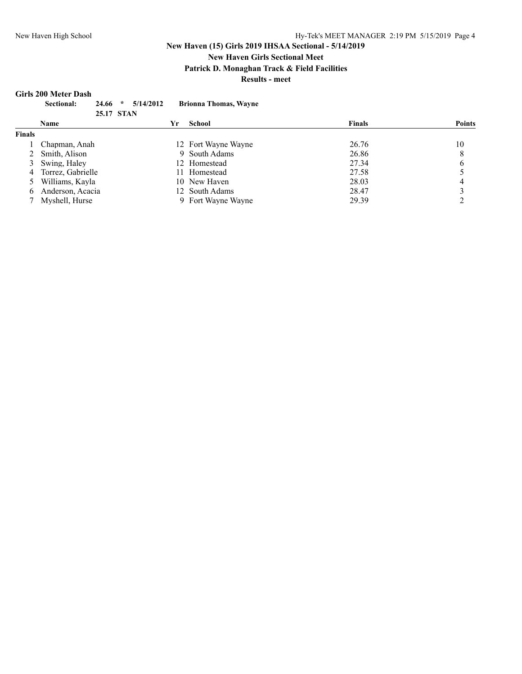**New Haven Girls Sectional Meet**

**Patrick D. Monaghan Track & Field Facilities**

**Results - meet**

#### **Girls 200 Meter Dash**

|               | Sectional:<br>$\star$<br>24.66 | 5/14/2012 | <b>Brionna Thomas, Wayne</b> |               |               |
|---------------|--------------------------------|-----------|------------------------------|---------------|---------------|
|               | 25.17 STAN                     |           |                              |               |               |
|               | <b>Name</b>                    | Yr        | School                       | <b>Finals</b> | <b>Points</b> |
| <b>Finals</b> |                                |           |                              |               |               |
|               | Chapman, Anah                  |           | 12 Fort Wayne Wayne          | 26.76         | 10            |
|               | 2 Smith, Alison                |           | 9 South Adams                | 26.86         | 8             |
|               | 3 Swing, Haley                 |           | 12 Homestead                 | 27.34         | 6             |
|               | 4 Torrez, Gabrielle            |           | 11 Homestead                 | 27.58         |               |
|               | 5 Williams, Kayla              |           | 10 New Haven                 | 28.03         | 4             |
| 6.            | Anderson, Acacia               |           | 12 South Adams               | 28.47         |               |
|               | Myshell, Hurse                 |           | 9 Fort Wayne Wayne           | 29.39         |               |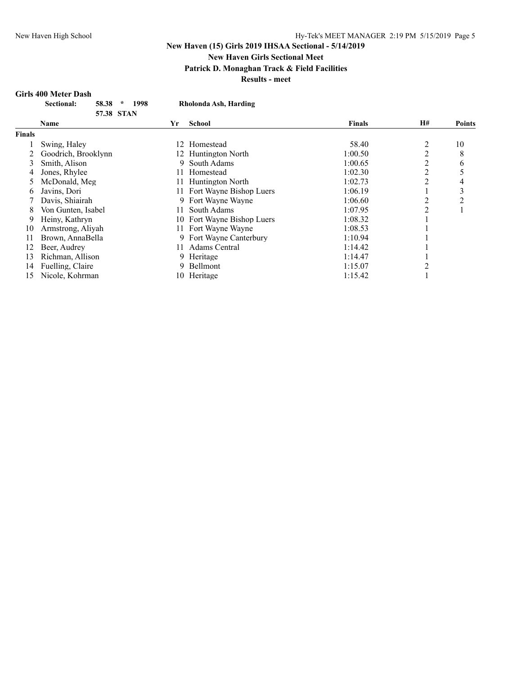## **New Haven Girls Sectional Meet**

**Patrick D. Monaghan Track & Field Facilities**

**Results - meet**

#### **Girls 400 Meter Dash**

|               | <b>Sectional:</b><br>58.38<br>$\star$ | 1998 | Rholonda Ash, Harding      |               |    |               |
|---------------|---------------------------------------|------|----------------------------|---------------|----|---------------|
|               | 57.38 STAN                            |      |                            |               |    |               |
|               | Name                                  | Yr   | <b>School</b>              | <b>Finals</b> | H# | <b>Points</b> |
| <b>Finals</b> |                                       |      |                            |               |    |               |
|               | Swing, Haley                          | 12   | Homestead                  | 58.40         | 2  | 10            |
|               | Goodrich, Brooklynn                   |      | 12 Huntington North        | 1:00.50       | 2  | 8             |
| 3             | Smith, Alison                         | 9    | South Adams                | 1:00.65       | 2  | 6             |
| 4             | Jones, Rhylee                         |      | Homestead                  | 1:02.30       | 2  |               |
| 5             | McDonald, Meg                         |      | Huntington North           | 1:02.73       | 2  | 4             |
| b             | Javins, Dori                          |      | 11 Fort Wayne Bishop Luers | 1:06.19       |    | 3             |
|               | Davis, Shiairah                       |      | 9 Fort Wayne Wayne         | 1:06.60       | 2  | 2             |
| 8             | Von Gunten, Isabel                    | 11.  | South Adams                | 1:07.95       | 2  | 1             |
| 9             | Heiny, Kathryn                        |      | 10 Fort Wayne Bishop Luers | 1:08.32       |    |               |
| 10            | Armstrong, Aliyah                     |      | 11 Fort Wayne Wayne        | 1:08.53       |    |               |
| 11            | Brown, AnnaBella                      |      | 9 Fort Wayne Canterbury    | 1:10.94       |    |               |
| 12            | Beer, Audrey                          | 11   | <b>Adams Central</b>       | 1:14.42       |    |               |
| 13            | Richman, Allison                      |      | 9 Heritage                 | 1:14.47       |    |               |
| 14            | Fuelling, Claire                      | 9.   | Bellmont                   | 1:15.07       |    |               |
| 15            | Nicole, Kohrman                       |      | 10 Heritage                | 1:15.42       |    |               |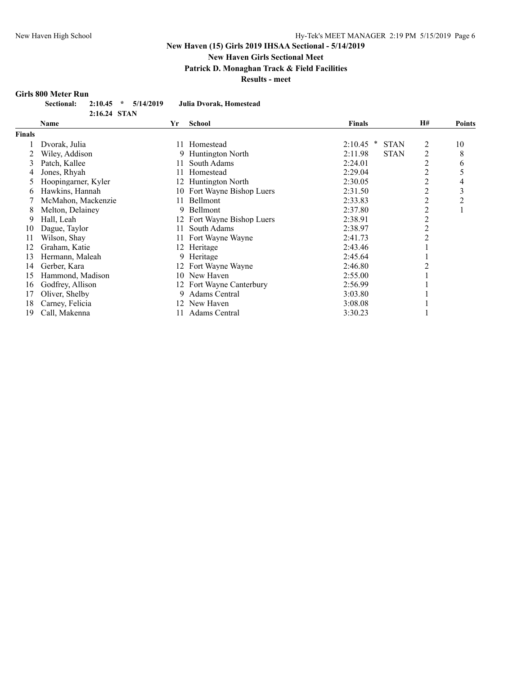**New Haven Girls Sectional Meet**

**Patrick D. Monaghan Track & Field Facilities**

**Results - meet**

### **Girls 800 Meter Run**

| <b>Sectional:</b> |              | $2:10.45$ $*$ $5/14/2019$ | Julia Dvorak, Homestead |
|-------------------|--------------|---------------------------|-------------------------|
|                   | 2:16.24 STAN |                           |                         |

|               | <b>School</b><br>Name<br>Yr |     |                            | <b>Finals</b>                    | <b>H#</b>      | <b>Points</b>  |
|---------------|-----------------------------|-----|----------------------------|----------------------------------|----------------|----------------|
| <b>Finals</b> |                             |     |                            |                                  |                |                |
|               | Dvorak, Julia               | 11  | Homestead                  | <b>STAN</b><br>2:10.45<br>$\ast$ | 2              | 10             |
|               | Wiley, Addison              | 9.  | Huntington North           | 2:11.98<br><b>STAN</b>           | 2              | 8              |
| 3             | Patch, Kallee               | 11  | South Adams                | 2:24.01                          | 2              | 6              |
|               | Jones, Rhyah                | 11  | Homestead                  | 2:29.04                          | $\overline{c}$ | 5              |
|               | Hoopingarner, Kyler         | 12  | Huntington North           | 2:30.05                          | $\overline{c}$ | 4              |
| 6             | Hawkins, Hannah             | 10  | Fort Wayne Bishop Luers    | 2:31.50                          | 2              | 3              |
|               | McMahon, Mackenzie          | 11. | Bellmont                   | 2:33.83                          | $\overline{2}$ | $\overline{2}$ |
| 8             | Melton, Delainey            | 9   | Bellmont                   | 2:37.80                          | 2              |                |
| 9             | Hall, Leah                  |     | 12 Fort Wayne Bishop Luers | 2:38.91                          | $\overline{c}$ |                |
| 10            | Dague, Taylor               | 11. | South Adams                | 2:38.97                          | $\overline{c}$ |                |
| 11            | Wilson, Shay                | 11  | Fort Wayne Wayne           | 2:41.73                          | 2              |                |
| 12            | Graham, Katie               | 12  | Heritage                   | 2:43.46                          |                |                |
| 13            | Hermann, Maleah             | 9.  | Heritage                   | 2:45.64                          |                |                |
| 14            | Gerber, Kara                |     | 12 Fort Wayne Wayne        | 2:46.80                          |                |                |
| 15            | Hammond, Madison            | 10  | New Haven                  | 2:55.00                          |                |                |
| 16            | Godfrey, Allison            |     | 12 Fort Wayne Canterbury   | 2:56.99                          |                |                |
| 17            | Oliver, Shelby              | 9   | <b>Adams Central</b>       | 3:03.80                          |                |                |
| 18            | Carney, Felicia             | 12  | New Haven                  | 3:08.08                          |                |                |
| 19            | Call, Makenna               | 11  | Adams Central              | 3:30.23                          |                |                |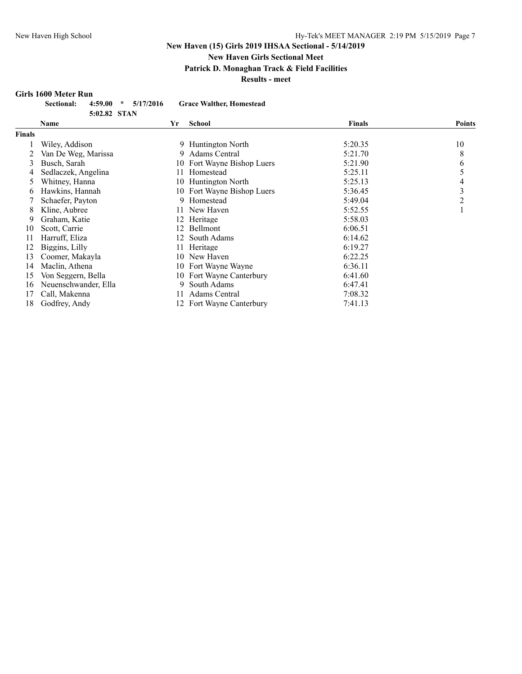**New Haven Girls Sectional Meet**

**Patrick D. Monaghan Track & Field Facilities**

**Results - meet**

#### **Girls 1600 Meter Run**

| Sectional: 4:59.00 * 5/17/2016 |              |  | <b>Grace Walther, Homestead</b> |
|--------------------------------|--------------|--|---------------------------------|
|                                | 5:02.82 STAN |  |                                 |

|               | Name                 | Yr  | <b>School</b>              | <b>Finals</b> | <b>Points</b> |
|---------------|----------------------|-----|----------------------------|---------------|---------------|
| <b>Finals</b> |                      |     |                            |               |               |
|               | Wiley, Addison       |     | 9 Huntington North         | 5:20.35       | 10            |
|               | Van De Weg, Marissa  | 9   | Adams Central              | 5:21.70       | 8             |
| 3             | Busch, Sarah         | 10  | Fort Wayne Bishop Luers    | 5:21.90       | 6             |
| 4             | Sedlaczek, Angelina  | 11  | Homestead                  | 5:25.11       | 5             |
| 5             | Whitney, Hanna       |     | 10 Huntington North        | 5:25.13       | 4             |
| 6             | Hawkins, Hannah      |     | 10 Fort Wayne Bishop Luers | 5:36.45       | 3             |
|               | Schaefer, Payton     | 9.  | Homestead                  | 5:49.04       | 2             |
| 8             | Kline, Aubree        | 11  | New Haven                  | 5:52.55       |               |
| 9             | Graham, Katie        |     | 12 Heritage                | 5:58.03       |               |
| 10            | Scott, Carrie        |     | 12 Bellmont                | 6:06.51       |               |
| 11            | Harruff, Eliza       | 12. | South Adams                | 6:14.62       |               |
| 12            | Biggins, Lilly       | 11  | Heritage                   | 6:19.27       |               |
| 13            | Coomer, Makayla      | 10  | New Haven                  | 6:22.25       |               |
| 14            | Maclin, Athena       |     | 10 Fort Wayne Wayne        | 6:36.11       |               |
| 15            | Von Seggern, Bella   |     | 10 Fort Wayne Canterbury   | 6:41.60       |               |
| 16            | Neuenschwander, Ella |     | 9 South Adams              | 6:47.41       |               |
| 17            | Call, Makenna        | 11  | Adams Central              | 7:08.32       |               |
| 18            | Godfrey, Andy        |     | 12 Fort Wayne Canterbury   | 7:41.13       |               |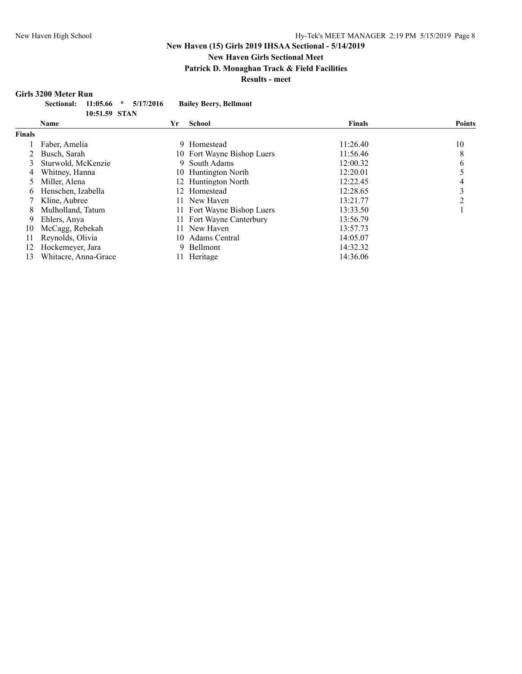#### **New Haven Girls Sectional Meet**

**Patrick D. Monaghan Track & Field Facilities**

**Results - meet**

### **Girls 3200 Meter Run**

| Sectional: 11:05.66 * 5/17/2016 |               |  | <b>Bailey Beery, Bellmont</b> |
|---------------------------------|---------------|--|-------------------------------|
|                                 | 10:51.59 STAN |  |                               |

|               | <b>Name</b>          | Yr | <b>School</b>              | <b>Finals</b> | <b>Points</b> |
|---------------|----------------------|----|----------------------------|---------------|---------------|
| <b>Finals</b> |                      |    |                            |               |               |
|               | Faber, Amelia        | 9. | Homestead                  | 11:26.40      | 10            |
|               | Busch, Sarah         |    | 10 Fort Wayne Bishop Luers | 11:56.46      | 8             |
| 3             | Sturwold, McKenzie   |    | 9 South Adams              | 12:00.32      | 6             |
| 4             | Whitney, Hanna       |    | 10 Huntington North        | 12:20.01      |               |
|               | Miller, Alena        |    | 12 Huntington North        | 12:22.45      | 4             |
| 6.            | Henschen. Izabella   |    | 12 Homestead               | 12:28.65      | 3             |
|               | Kline, Aubree        |    | 11 New Haven               | 13:21.77      | ↑             |
| 8.            | Mulholland, Tatum    |    | 11 Fort Wayne Bishop Luers | 13:33.50      |               |
| 9             | Ehlers. Anva         |    | 11 Fort Wayne Canterbury   | 13:56.79      |               |
| 10            | McCagg, Rebekah      |    | 11 New Haven               | 13:57.73      |               |
| 11            | Reynolds, Olivia     |    | 10 Adams Central           | 14:05.07      |               |
| 12            | Hockemeyer, Jara     |    | 9 Bellmont                 | 14:32.32      |               |
| 13            | Whitacre, Anna-Grace |    | Heritage                   | 14:36.06      |               |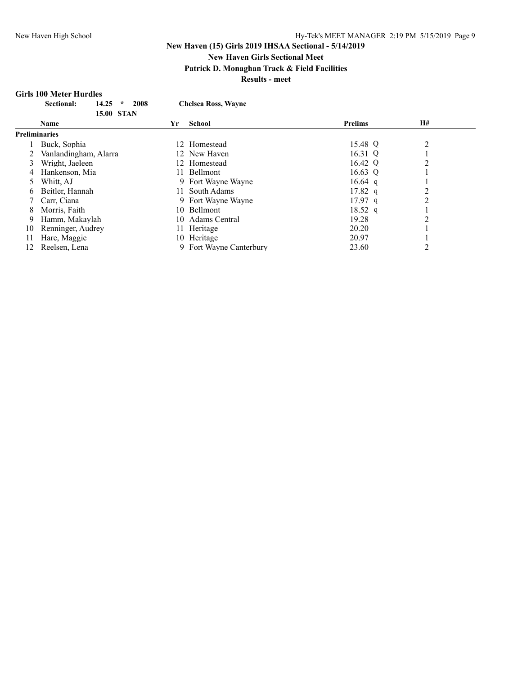#### **New Haven Girls Sectional Meet**

**Patrick D. Monaghan Track & Field Facilities**

**Results - meet**

#### **Girls 100 Meter Hurdles**

|                      | <b>Sectional:</b><br>14.25<br>$\star$<br>2008 |    | <b>Chelsea Ross, Wayne</b> |                   |    |
|----------------------|-----------------------------------------------|----|----------------------------|-------------------|----|
|                      | <b>15.00 STAN</b>                             |    |                            |                   |    |
|                      | <b>Name</b>                                   | Yr | School                     | <b>Prelims</b>    | H# |
| <b>Preliminaries</b> |                                               |    |                            |                   |    |
|                      | Buck, Sophia                                  |    | 12 Homestead               | 15.48 Q           | 2  |
|                      | Vanlandingham, Alarra                         | 12 | New Haven                  | 16.31 Q           |    |
| 3                    | Wright, Jaeleen                               |    | 12 Homestead               | 16.42 Q           | 2  |
| 4                    | Hankenson, Mia                                |    | 11 Bellmont                | $16.63$ Q         |    |
|                      | Whitt, AJ                                     |    | 9 Fort Wayne Wayne         | $16.64$ q         |    |
| 6                    | Beitler, Hannah                               | 11 | South Adams                | $17.82$ q         | 2  |
|                      | Carr, Ciana                                   |    | 9 Fort Wayne Wayne         | $17.97$ q         | 2  |
| 8                    | Morris, Faith                                 |    | 10 Bellmont                | $18.52 \text{ q}$ |    |
| 9                    | Hamm, Makaylah                                |    | 10 Adams Central           | 19.28             | 2  |
| 10                   | Renninger, Audrey                             |    | 11 Heritage                | 20.20             |    |
| 11                   | Hare, Maggie                                  |    | 10 Heritage                | 20.97             |    |
| 12.                  | Reelsen, Lena                                 |    | 9 Fort Wayne Canterbury    | 23.60             | 2  |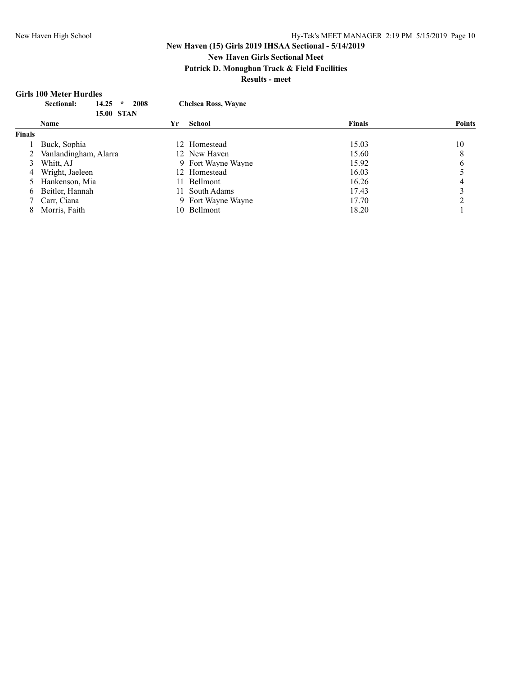## **New Haven Girls Sectional Meet**

**Patrick D. Monaghan Track & Field Facilities**

**Results - meet**

### **Girls 100 Meter Hurdles**

|               | 14.25<br><b>Sectional:</b><br>2008<br>$\star$ |    | <b>Chelsea Ross, Wayne</b> |               |               |
|---------------|-----------------------------------------------|----|----------------------------|---------------|---------------|
|               | <b>15.00 STAN</b>                             |    |                            |               |               |
|               | Name                                          | Yr | School                     | <b>Finals</b> | <b>Points</b> |
| <b>Finals</b> |                                               |    |                            |               |               |
|               | Buck, Sophia                                  |    | 12 Homestead               | 15.03         | 10            |
|               | Vanlandingham, Alarra                         |    | 12 New Haven               | 15.60         | 8             |
| 3             | Whitt, AJ                                     |    | 9 Fort Wayne Wayne         | 15.92         | 6             |
| 4             | Wright, Jaeleen                               |    | 12 Homestead               | 16.03         |               |
|               | Hankenson, Mia                                |    | 11 Bellmont                | 16.26         | 4             |
| 6.            | Beitler, Hannah                               |    | 11 South Adams             | 17.43         |               |
|               | Carr, Ciana                                   |    | 9 Fort Wayne Wayne         | 17.70         |               |
| 8             | Morris, Faith                                 | 10 | Bellmont                   | 18.20         |               |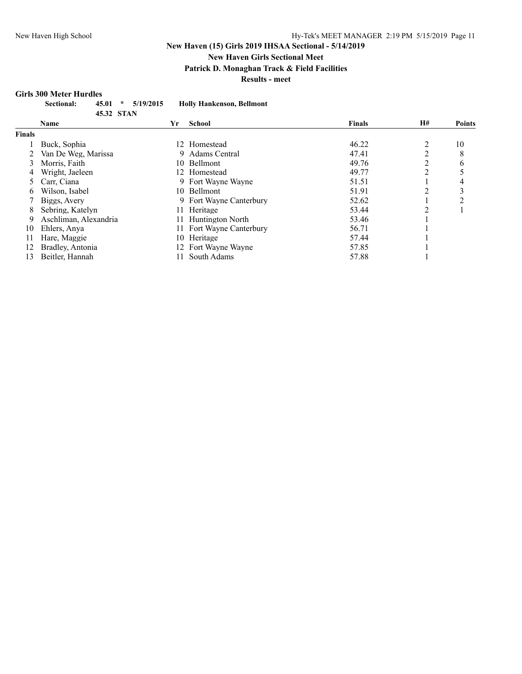**New Haven Girls Sectional Meet**

**Patrick D. Monaghan Track & Field Facilities**

**Results - meet**

#### **Girls 300 Meter Hurdles**

|               | <b>Sectional:</b><br>45.01 | 5/19/2015<br>$\star$<br>45.32 STAN | <b>Holly Hankenson, Bellmont</b>            |                   |        |        |
|---------------|----------------------------|------------------------------------|---------------------------------------------|-------------------|--------|--------|
|               | <b>Name</b>                |                                    | School                                      | <b>Finals</b>     | H#     | Points |
| <b>Finals</b> |                            |                                    |                                             |                   |        |        |
|               | Buck, Sophia               |                                    | 12 Homestead                                | 46.22             |        | 10     |
|               | 2 Van De Weg, Marissa      |                                    | 9 Adams Central                             | 47.41             |        |        |
|               | 2.11                       |                                    | $10 \quad \text{D} \quad 11 \quad \text{I}$ | 40.7 <sup>2</sup> | $\sim$ |        |

|    | 2 Van De Weg, Marissa | 9 Adams Central          | 47.41 |              |
|----|-----------------------|--------------------------|-------|--------------|
| 3  | Morris, Faith         | 10 Bellmont              | 49.76 | <sub>b</sub> |
| 4  | Wright, Jaeleen       | 12 Homestead             | 49.77 |              |
|    | 5 Carr, Ciana         | 9 Fort Wayne Wayne       | 51.51 |              |
| 6  | Wilson, Isabel        | 10 Bellmont              | 51.91 |              |
|    | Biggs, Avery          | 9 Fort Wayne Canterbury  | 52.62 |              |
| 8  | Sebring, Katelyn      | 11 Heritage              | 53.44 |              |
| 9. | Aschliman, Alexandria | 11 Huntington North      | 53.46 |              |
| 10 | Ehlers, Anya          | 11 Fort Wayne Canterbury | 56.71 |              |
| 11 | Hare, Maggie          | 10 Heritage              | 57.44 |              |
| 12 | Bradley, Antonia      | 12 Fort Wayne Wayne      | 57.85 |              |
| 13 | Beitler, Hannah       | South Adams              | 57.88 |              |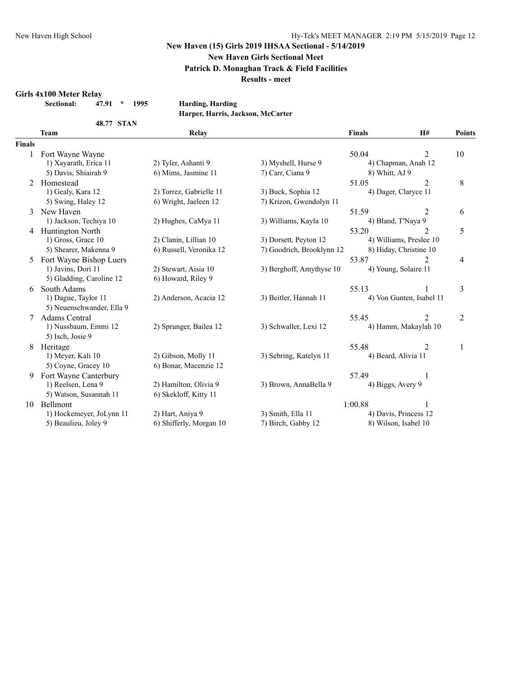#### **New Haven (15) Girls 2019 IHSAA Sectional - 5/14/2019 New Haven Girls Sectional Meet**

**Patrick D. Monaghan Track & Field Facilities**

**Results - meet**

#### **Girls 4x100 Meter Relay**

| Sectional: | 47.91 | 1995 | <b>Harding, Harding</b> |
|------------|-------|------|-------------------------|
|            |       |      |                         |

**Harper, Harris, Jackson, McCarter**

|                 | <b>Team</b>                                                               | Relay                                            |                                                    | <b>Finals</b>                                            | H#                                                     | Points         |
|-----------------|---------------------------------------------------------------------------|--------------------------------------------------|----------------------------------------------------|----------------------------------------------------------|--------------------------------------------------------|----------------|
| <b>Finals</b>   |                                                                           |                                                  |                                                    |                                                          |                                                        |                |
|                 | Fort Wayne Wayne<br>1) Xayarath, Erica 11                                 | 2) Tyler, Ashanti 9                              | 3) Myshell, Hurse 9                                | 50.04                                                    | 2<br>4) Chapman, Anah 12                               | 10             |
|                 | 5) Davis, Shiairah 9                                                      | 6) Mims, Jasmine 11                              | 7) Carr, Ciana 9                                   | 8) Whitt, AJ 9                                           |                                                        |                |
| 2               | Homestead<br>1) Gealy, Kara 12<br>5) Swing, Haley 12                      | 2) Torrez, Gabrielle 11<br>6) Wright, Jaeleen 12 | 3) Buck, Sophia 12<br>7) Krizon, Gwendolyn 11      | 51.05<br>4) Dager, Claryce 11                            | 2                                                      | 8              |
| 3               | New Haven<br>1) Jackson, Techiya 10                                       | 2) Hughes, CaMya 11                              | 3) Williams, Kayla 10                              | 51.59<br>4) Bland, T'Naya 9                              | 2                                                      | 6              |
| 4               | Huntington North<br>1) Gross, Grace 10<br>5) Shearer, Makenna 9           | 2) Clanin, Lillian 10<br>6) Russell, Veronika 12 | 3) Dorsett, Peyton 12<br>7) Goodrich, Brooklynn 12 | 53.20                                                    | 2<br>4) Williams, Preslee 10<br>8) Hiday, Christine 10 | 5              |
| 5.              | Fort Wayne Bishop Luers<br>1) Javins, Dori 11<br>5) Gladding, Caroline 12 | 2) Stewart, Aisia 10<br>6) Howard, Riley 9       | 3) Berghoff, Amythyse 10                           | 53.87<br>4) Young, Solaire 11                            | 2                                                      | 4              |
| 6               | South Adams<br>1) Dague, Taylor 11<br>5) Neuenschwander, Ella 9           | 2) Anderson, Acacia 12                           | 3) Beitler, Hannah 11                              | 55.13                                                    | 4) Von Gunten, Isabel 11                               | 3              |
| 7               | <b>Adams Central</b><br>1) Nussbaum, Emmi 12<br>5) Isch, Josie 9          | 2) Sprunger, Bailea 12                           | 3) Schwaller, Lexi 12                              | 55.45                                                    | 2<br>4) Hamm, Makaylah 10                              | $\overline{2}$ |
| 8               | Heritage<br>1) Meyer, Kali 10<br>5) Coyne, Gracey 10                      | 2) Gibson, Molly 11<br>6) Bonar, Macenzie 12     | 3) Sebring, Katelyn 11                             | 55.48<br>4) Beard, Alivia 11                             | 2                                                      | 1              |
| 9               | Fort Wayne Canterbury<br>1) Reelsen, Lena 9<br>5) Watson, Susannah 11     | 2) Hamilton, Olivia 9<br>6) Skekloff, Kitty 11   | 3) Brown, AnnaBella 9                              | 57.49<br>4) Biggs, Avery 9                               |                                                        |                |
| 10 <sup>1</sup> | <b>Bellmont</b><br>1) Hockemeyer, JoLynn 11<br>5) Beaulieu, Joley 9       | 2) Hart, Aniya 9<br>6) Shifferly, Morgan 10      | 3) Smith, Ella 11<br>7) Birch, Gabby 12            | 1:00.88<br>4) Davis, Princess 12<br>8) Wilson, Isabel 10 |                                                        |                |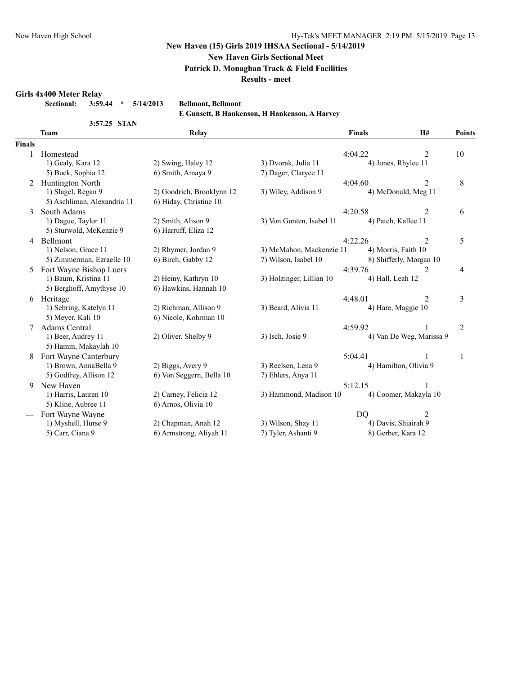**New Haven Girls Sectional Meet**

**Patrick D. Monaghan Track & Field Facilities**

**Results - meet**

#### **Girls 4x400 Meter Relay**

| Sectional: |  |  | $3:59.44$ * $5/14/2013$ | <b>Bellmont, Bellmont</b> |
|------------|--|--|-------------------------|---------------------------|
|------------|--|--|-------------------------|---------------------------|

#### **E Gunsett, B Hankenson, H Hankenson, A Harvey**

**3:57.25 STAN**

|                | $J: J'.LJ$ $JIMN$           |                           |                          |                |                          |                |
|----------------|-----------------------------|---------------------------|--------------------------|----------------|--------------------------|----------------|
|                | <b>Team</b>                 | Relay                     |                          | <b>Finals</b>  | H#                       | <b>Points</b>  |
| <b>Finals</b>  |                             |                           |                          |                |                          |                |
| 1              | Homestead                   |                           |                          | 4:04.22        | $\overline{2}$           | 10             |
|                | 1) Gealy, Kara 12           | 2) Swing, Haley 12        | 3) Dvorak, Julia 11      |                | 4) Jones, Rhylee 11      |                |
|                | 5) Buck, Sophia 12          | 6) Smith, Amaya 9         | 7) Dager, Claryce 11     |                |                          |                |
| 2              | Huntington North            |                           |                          | 4:04.60        | $\overline{2}$           | 8              |
|                | 1) Slagel, Regan 9          | 2) Goodrich, Brooklynn 12 | 3) Wiley, Addison 9      |                | 4) McDonald, Meg 11      |                |
|                | 5) Aschliman, Alexandria 11 | 6) Hiday, Christine 10    |                          |                |                          |                |
| 3              | South Adams                 |                           |                          | 4:20.58        | $\overline{2}$           | 6              |
|                | 1) Dague, Taylor 11         | 2) Smith, Alison 9        | 3) Von Gunten, Isabel 11 |                | 4) Patch, Kallee 11      |                |
|                | 5) Sturwold, McKenzie 9     | 6) Harruff, Eliza 12      |                          |                |                          |                |
| $\overline{4}$ | Bellmont                    |                           |                          | 4:22.26        | $\overline{2}$           | 5              |
|                | 1) Nelson, Grace 11         | 2) Rhymer, Jordan 9       | 3) McMahon, Mackenzie 11 |                | 4) Morris, Faith 10      |                |
|                | 5) Zimmerman, Ezraelle 10   | 6) Birch, Gabby 12        | 7) Wilson, Isabel 10     |                | 8) Shifferly, Morgan 10  |                |
| 5              | Fort Wayne Bishop Luers     |                           |                          | 4:39.76        | $\overline{2}$           | 4              |
|                | 1) Baum, Kristina 11        | 2) Heiny, Kathryn 10      | 3) Holzinger, Lillian 10 |                | 4) Hall, Leah 12         |                |
|                | 5) Berghoff, Amythyse 10    | 6) Hawkins, Hannah 10     |                          |                |                          |                |
| 6              | Heritage                    |                           |                          | 4:48.01        | $\overline{2}$           | 3              |
|                | 1) Sebring, Katelyn 11      | 2) Richman, Allison 9     | 3) Beard, Alivia 11      |                | 4) Hare, Maggie 10       |                |
|                | 5) Meyer, Kali 10           | 6) Nicole, Kohrman 10     |                          |                |                          |                |
|                | <b>Adams Central</b>        |                           |                          | 4:59.92        |                          | $\overline{2}$ |
|                | 1) Beer, Audrey 11          | 2) Oliver, Shelby 9       | 3) Isch, Josie 9         |                | 4) Van De Weg, Marissa 9 |                |
|                | 5) Hamm, Makaylah 10        |                           |                          |                |                          |                |
| 8              | Fort Wayne Canterbury       |                           |                          | 5:04.41        |                          |                |
|                | 1) Brown, AnnaBella 9       | 2) Biggs, Avery 9         | 3) Reelsen, Lena 9       |                | 4) Hamilton, Olivia 9    |                |
|                | 5) Godfrey, Allison 12      | 6) Von Seggern, Bella 10  | 7) Ehlers, Anya 11       |                |                          |                |
| 9              | New Haven                   |                           |                          | 5:12.15        |                          |                |
|                | 1) Harris, Lauren 10        | 2) Carney, Felicia 12     | 3) Hammond, Madison 10   |                | 4) Coomer, Makayla 10    |                |
|                | 5) Kline, Aubree 11         | 6) Arnos, Olivia 10       |                          |                |                          |                |
|                | Fort Wayne Wayne            |                           |                          | D <sub>O</sub> | $\overline{2}$           |                |
|                | 1) Myshell, Hurse 9         | 2) Chapman, Anah 12       | 3) Wilson, Shay 11       |                | 4) Davis, Shiairah 9     |                |
|                | 5) Carr, Ciana 9            | 6) Armstrong, Aliyah 11   | 7) Tyler, Ashanti 9      |                | 8) Gerber, Kara 12       |                |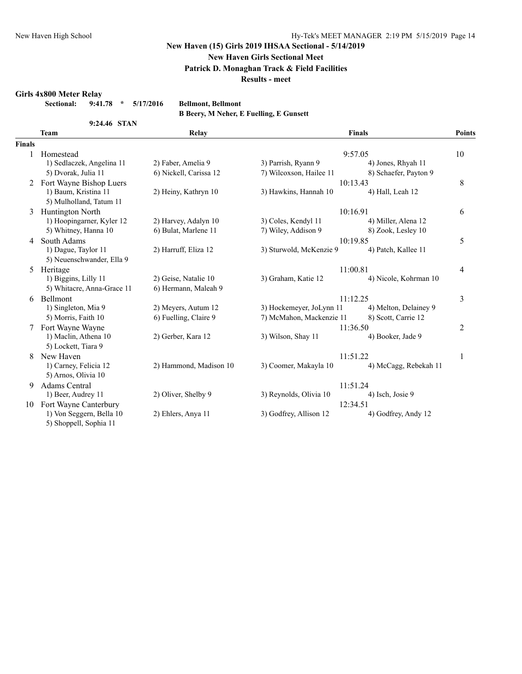**New Haven Girls Sectional Meet**

**Patrick D. Monaghan Track & Field Facilities**

**Results - meet**

#### **Girls 4x800 Meter Relay**

| <b>Sectional:</b> | 9:41.78 | 5/17/2016 |
|-------------------|---------|-----------|
|                   |         |           |

1) Von Seggern, Bella 10 5) Shoppell, Sophia 11

**B Beery, M Neher, E Fuelling, E Gunsett**

**Sectional: 9:41.78 \* 5/17/2016 Bellmont, Bellmont**

**9:24.46 STAN**

|               | 2.24.40 DIAIN              |                        |                          |                       |               |
|---------------|----------------------------|------------------------|--------------------------|-----------------------|---------------|
|               | <b>Team</b>                | Relay                  |                          | <b>Finals</b>         | <b>Points</b> |
| <b>Finals</b> |                            |                        |                          |                       |               |
|               | Homestead                  |                        |                          | 9:57.05               | 10            |
|               | 1) Sedlaczek, Angelina 11  | 2) Faber, Amelia 9     | 3) Parrish, Ryann 9      | 4) Jones, Rhyah 11    |               |
|               | 5) Dvorak, Julia 11        | 6) Nickell, Carissa 12 | 7) Wilcoxson, Hailee 11  | 8) Schaefer, Payton 9 |               |
|               | Fort Wayne Bishop Luers    |                        | 10:13.43                 |                       | 8             |
|               | 1) Baum, Kristina 11       | 2) Heiny, Kathryn 10   | 3) Hawkins, Hannah 10    | 4) Hall, Leah 12      |               |
|               | 5) Mulholland, Tatum 11    |                        |                          |                       |               |
| 3             | <b>Huntington North</b>    |                        | 10:16.91                 |                       | 6             |
|               | 1) Hoopingarner, Kyler 12  | 2) Harvey, Adalyn 10   | 3) Coles, Kendyl 11      | 4) Miller, Alena 12   |               |
|               | 5) Whitney, Hanna 10       | 6) Bulat, Marlene 11   | 7) Wiley, Addison 9      | 8) Zook, Lesley 10    |               |
| 4             | South Adams                |                        | 10:19.85                 |                       | 5             |
|               | 1) Dague, Taylor 11        | 2) Harruff, Eliza 12   | 3) Sturwold, McKenzie 9  | 4) Patch, Kallee 11   |               |
|               | 5) Neuenschwander, Ella 9  |                        |                          |                       |               |
| 5             | Heritage                   |                        |                          | 11:00.81              | 4             |
|               | 1) Biggins, Lilly 11       | 2) Geise, Natalie 10   | 3) Graham, Katie 12      | 4) Nicole, Kohrman 10 |               |
|               | 5) Whitacre, Anna-Grace 11 | 6) Hermann, Maleah 9   |                          |                       |               |
| 6             | <b>Bellmont</b>            |                        | 11:12.25                 |                       | 3             |
|               | 1) Singleton, Mia 9        | 2) Meyers, Autum 12    | 3) Hockemeyer, JoLynn 11 | 4) Melton, Delainey 9 |               |
|               | 5) Morris, Faith 10        | 6) Fuelling, Claire 9  | 7) McMahon, Mackenzie 11 | 8) Scott, Carrie 12   |               |
| $\tau$        | <b>Fort Wayne Wayne</b>    |                        |                          | 11:36.50              | 2             |
|               | 1) Maclin, Athena 10       | 2) Gerber, Kara 12     | 3) Wilson, Shay 11       | 4) Booker, Jade 9     |               |
|               | 5) Lockett, Tiara 9        |                        |                          |                       |               |
| 8             | New Haven                  |                        | 11:51.22                 |                       | 1             |
|               | 1) Carney, Felicia 12      | 2) Hammond, Madison 10 | 3) Coomer, Makayla 10    | 4) McCagg, Rebekah 11 |               |
|               | 5) Arnos, Olivia 10        |                        |                          |                       |               |
| 9             | Adams Central              |                        |                          | 11:51.24              |               |
|               | 1) Beer, Audrey 11         | 2) Oliver, Shelby 9    | 3) Reynolds, Olivia 10   | 4) Isch, Josie 9      |               |

10 Fort Wayne Canterbury 12:34.51<br>1) Von Seggern, Bella 10 2) Ehlers, Anya 11 3) Godfrey, Allison 12 4) Godfrey, Andy 12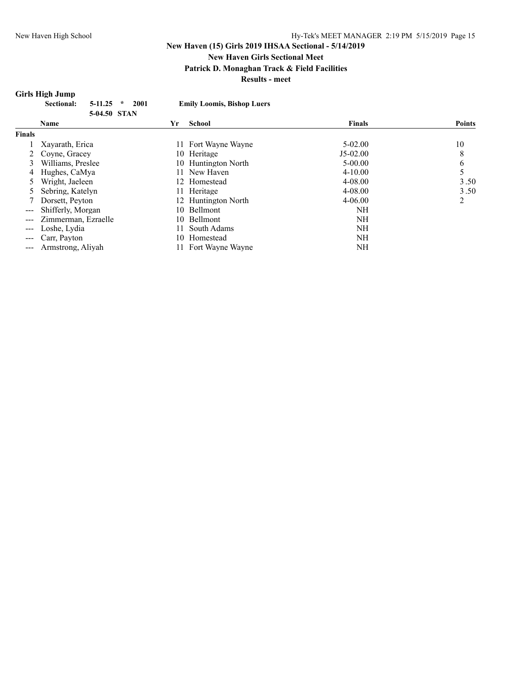### **New Haven (15) Girls 2019 IHSAA Sectional - 5/14/2019 New Haven Girls Sectional Meet**

**Patrick D. Monaghan Track & Field Facilities**

**Results - meet**

### **Girls High Jump**

|                                                                                                | <b>Sectional:</b><br>$5 - 11.25$<br>$\star$<br>2001 |     | <b>Emily Loomis, Bishop Luers</b> |             |               |
|------------------------------------------------------------------------------------------------|-----------------------------------------------------|-----|-----------------------------------|-------------|---------------|
|                                                                                                | 5-04.50 STAN                                        |     |                                   |             |               |
|                                                                                                | <b>Name</b>                                         | Yr  | School                            | Finals      | <b>Points</b> |
| Finals                                                                                         |                                                     |     |                                   |             |               |
|                                                                                                | Xayarath, Erica                                     |     | 11 Fort Wayne Wayne               | $5 - 02.00$ | 10            |
|                                                                                                | Coyne, Gracey                                       | 10  | Heritage                          | $J5-02.00$  | 8             |
|                                                                                                | Williams, Preslee                                   |     | 10 Huntington North               | $5 - 00.00$ | 6             |
| 4                                                                                              | Hughes, CaMya                                       |     | 11 New Haven                      | $4 - 10.00$ |               |
|                                                                                                | Wright, Jaeleen                                     |     | 12 Homestead                      | 4-08.00     | 3.50          |
|                                                                                                | Sebring, Katelyn                                    |     | 11 Heritage                       | 4-08.00     | 3.50          |
|                                                                                                | Dorsett, Peyton                                     |     | 12 Huntington North               | $4 - 06.00$ | 2             |
| $\qquad \qquad -$                                                                              | Shifferly, Morgan                                   | 10  | Bellmont                          | NH          |               |
|                                                                                                | Zimmerman, Ezraelle                                 | 10  | <b>Bellmont</b>                   | NH          |               |
| $\frac{1}{2} \left( \frac{1}{2} \right) \left( \frac{1}{2} \right) \left( \frac{1}{2} \right)$ | Loshe, Lydia                                        | 11. | South Adams                       | NH          |               |
|                                                                                                | Carr, Payton                                        | 10  | Homestead                         | NH          |               |
|                                                                                                | Armstrong, Aliyah                                   |     | 11 Fort Wayne Wayne               | NH          |               |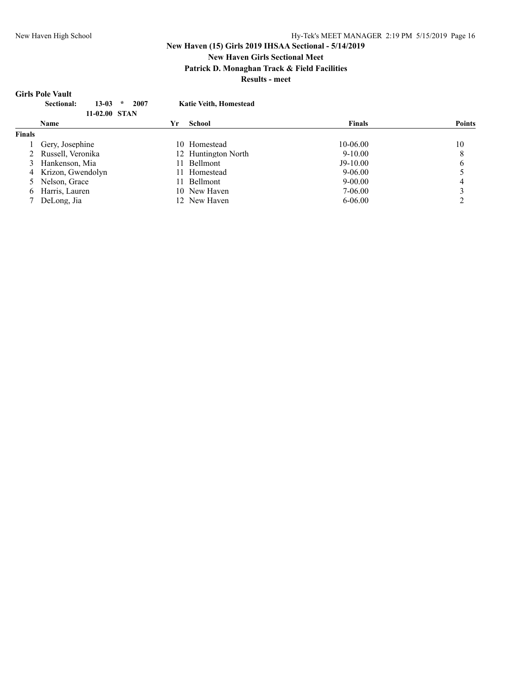## **New Haven Girls Sectional Meet**

**Patrick D. Monaghan Track & Field Facilities**

**Results - meet**

#### **Girls Pole Vault**

|               | $13 - 03$<br>2007<br><b>Sectional:</b><br>$\star$ |    | <b>Katie Veith, Homestead</b> |             |        |  |
|---------------|---------------------------------------------------|----|-------------------------------|-------------|--------|--|
|               | 11-02.00 STAN                                     |    |                               |             |        |  |
|               | <b>Name</b>                                       | Yr | School                        | Finals      | Points |  |
| <b>Finals</b> |                                                   |    |                               |             |        |  |
|               | Gery, Josephine                                   |    | 10 Homestead                  | 10-06.00    | 10     |  |
|               | 2 Russell, Veronika                               |    | 12 Huntington North           | $9-10.00$   | 8      |  |
|               | Hankenson, Mia                                    |    | 11 Bellmont                   | $J9-10.00$  | 6      |  |
| 4             | Krizon, Gwendolyn                                 |    | 11 Homestead                  | $9 - 06.00$ |        |  |
|               | 5 Nelson, Grace                                   |    | 11 Bellmont                   | $9 - 00.00$ | 4      |  |
| 6             | Harris, Lauren                                    |    | 10 New Haven                  | 7-06.00     |        |  |
|               | DeLong, Jia                                       |    | 12 New Haven                  | $6 - 06.00$ |        |  |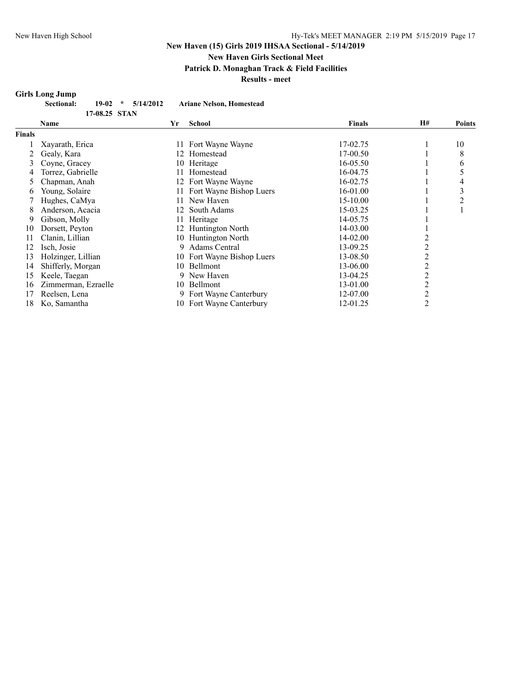### **New Haven (15) Girls 2019 IHSAA Sectional - 5/14/2019 New Haven Girls Sectional Meet**

**Patrick D. Monaghan Track & Field Facilities**

**Results - meet**

### **Girls Long Jump**

| <b>Sectional:</b> |               | $19-02 \div 5/14/2012$ | <b>Ariane Nelson, Homestead</b> |
|-------------------|---------------|------------------------|---------------------------------|
|                   | 17-08.25 STAN |                        |                                 |

|        | Name                | Yr  | <b>School</b>              | <b>Finals</b> | H# | <b>Points</b>  |
|--------|---------------------|-----|----------------------------|---------------|----|----------------|
| Finals |                     |     |                            |               |    |                |
|        | Xavarath, Erica     |     | 11 Fort Wayne Wayne        | 17-02.75      |    | 10             |
|        | Gealy, Kara         |     | 12 Homestead               | 17-00.50      |    | 8              |
| 3      | Coyne, Gracey       |     | 10 Heritage                | 16-05.50      |    | 6              |
|        | Torrez, Gabrielle   |     | Homestead                  | 16-04.75      |    |                |
|        | Chapman, Anah       | 12. | Fort Wayne Wayne           | 16-02.75      |    | 4              |
| 6      | Young, Solaire      | 11. | Fort Wayne Bishop Luers    | 16-01.00      |    | 3              |
|        | Hughes, CaMya       |     | 11 New Haven               | 15-10.00      |    | $\overline{2}$ |
| 8      | Anderson, Acacia    |     | 12 South Adams             | 15-03.25      |    |                |
| 9      | Gibson, Molly       | 11. | Heritage                   | 14-05.75      |    |                |
| 10     | Dorsett, Peyton     |     | 12 Huntington North        | 14-03.00      |    |                |
| 11     | Clanin, Lillian     | 10  | Huntington North           | 14-02.00      |    |                |
| 12     | Isch. Josie         | 9.  | Adams Central              | 13-09.25      | 2  |                |
| 13     | Holzinger, Lillian  |     | 10 Fort Wayne Bishop Luers | 13-08.50      | 2  |                |
| 14     | Shifferly, Morgan   | 10  | Bellmont                   | 13-06.00      | 2  |                |
| 15     | Keele, Taegan       |     | 9 New Haven                | 13-04.25      | 2  |                |
| 16     | Zimmerman, Ezraelle |     | 10 Bellmont                | 13-01.00      | 2  |                |
| 17     | Reelsen, Lena       |     | 9 Fort Wayne Canterbury    | 12-07.00      | 2  |                |
| 18     | Ko, Samantha        |     | 10 Fort Wayne Canterbury   | 12-01.25      | 2  |                |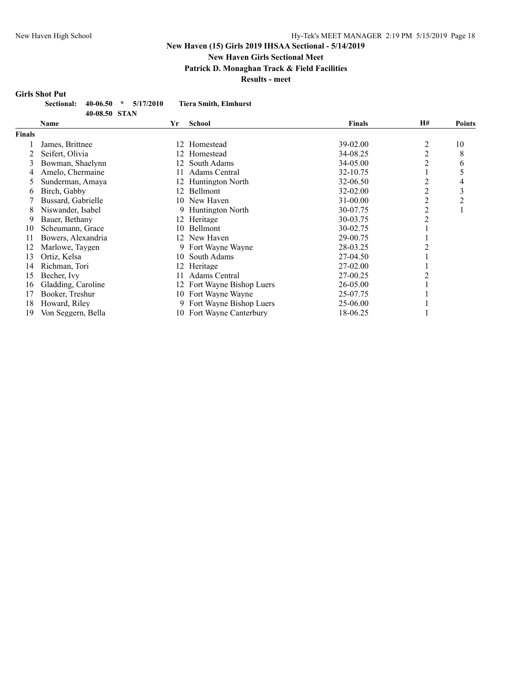**New Haven Girls Sectional Meet**

**Patrick D. Monaghan Track & Field Facilities**

**Results - meet**

#### **Girls Shot Put**

|               | Sectional:<br>40-06.50<br>$\star$ | 5/17/2010 | <b>Tiera Smith, Elmhurst</b> |               |    |               |
|---------------|-----------------------------------|-----------|------------------------------|---------------|----|---------------|
|               | 40-08.50 STAN                     |           |                              |               |    |               |
|               | Name                              | Yr        | School                       | <b>Finals</b> | H# | <b>Points</b> |
| <b>Finals</b> |                                   |           |                              |               |    |               |
|               | James, Brittnee                   | 12        | Homestead                    | $39 - 02.00$  | 2  | 10            |
|               | Seifert, Olivia                   | 12        | Homestead                    | 34-08.25      | 2  | 8             |
| 3             | Bowman, Shaelynn                  |           | 12 South Adams               | 34-05.00      | 2  | 6             |
| 4             | Amelo, Chermaine                  | 11        | Adams Central                | 32-10.75      |    | 5             |
|               | Sunderman, Amaya                  | 12        | Huntington North             | 32-06.50      | 2  | 4             |
| 6             | Birch, Gabby                      |           | 12 Bellmont                  | $32 - 02.00$  | 2  | 3             |
|               | Bussard, Gabrielle                |           | 10 New Haven                 | $31 - 00.00$  | 2  | 2             |
| 8             | Niswander, Isabel                 | 9.        | Huntington North             | 30-07.75      | 2  |               |
| 9             | Bauer, Bethany                    |           | 12 Heritage                  | 30-03.75      | 2  |               |
| 10            | Scheumann, Grace                  | 10        | Bellmont                     | 30-02.75      |    |               |
| 11            | Bowers, Alexandria                |           | 12 New Haven                 | 29-00.75      |    |               |
| 12            | Marlowe, Taygen                   |           | 9 Fort Wayne Wayne           | 28-03.25      | 2  |               |
| 13            | Ortiz, Kelsa                      | 10        | South Adams                  | 27-04.50      |    |               |
| 14            | Richman, Tori                     | 12        | Heritage                     | 27-02.00      |    |               |
| 15            | Becher, Ivy                       | 11        | Adams Central                | 27-00.25      |    |               |
| 16            | Gladding, Caroline                |           | 12 Fort Wayne Bishop Luers   | 26-05.00      |    |               |
| 17            | Booker, Treshur                   |           | 10 Fort Wayne Wayne          | 25-07.75      |    |               |
| 18            | Howard, Riley                     |           | 9 Fort Wayne Bishop Luers    | 25-06.00      |    |               |
| 19            | Von Seggern, Bella                |           | 10 Fort Wayne Canterbury     | 18-06.25      |    |               |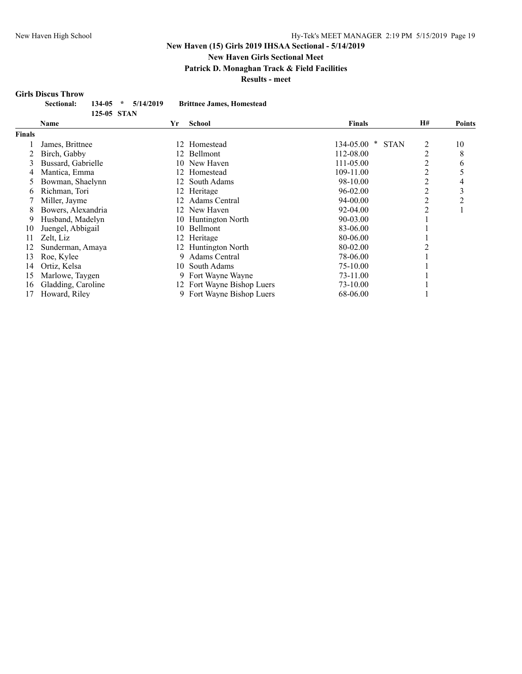**New Haven Girls Sectional Meet**

**Patrick D. Monaghan Track & Field Facilities**

**Results - meet**

#### **Girls Discus Throw**

| Sectional: |             | $134-05$ * $5/14/2019$ | <b>Brittnee James, Homestead</b> |
|------------|-------------|------------------------|----------------------------------|
|            | 125-05 STAN |                        |                                  |

|        | Name               | Yr  | <b>School</b>              | <b>Finals</b>                      | <b>H#</b>      | Points |
|--------|--------------------|-----|----------------------------|------------------------------------|----------------|--------|
| Finals |                    |     |                            |                                    |                |        |
|        | James, Brittnee    | 12. | Homestead                  | 134-05.00<br><b>STAN</b><br>$\ast$ | 2              | 10     |
|        | Birch, Gabby       | 12  | Bellmont                   | 112-08.00                          | $\overline{c}$ | 8      |
|        | Bussard, Gabrielle | 10  | New Haven                  | 111-05.00                          | 2              | 6      |
| 4      | Mantica, Emma      | 12. | Homestead                  | 109-11.00                          | $\overline{2}$ |        |
| 5      | Bowman, Shaelynn   |     | 12 South Adams             | 98-10.00                           | 2              | 4      |
| 6      | Richman, Tori      |     | 12 Heritage                | 96-02.00                           | 2              | 3      |
|        | Miller, Jayme      | 12. | Adams Central              | 94-00.00                           | 2              | 2      |
| 8      | Bowers, Alexandria |     | 12 New Haven               | 92-04.00                           | 2              |        |
| 9      | Husband, Madelyn   | 10  | Huntington North           | 90-03.00                           |                |        |
| 10     | Juengel, Abbigail  | 10  | Bellmont                   | 83-06.00                           |                |        |
| 11     | Zelt, Liz          |     | 12 Heritage                | 80-06.00                           |                |        |
| 12     | Sunderman, Amaya   |     | 12 Huntington North        | 80-02.00                           |                |        |
| 13     | Roe, Kylee         | 9.  | Adams Central              | 78-06.00                           |                |        |
| 14     | Ortiz, Kelsa       | 10- | South Adams                | 75-10.00                           |                |        |
| 15     | Marlowe, Taygen    |     | 9 Fort Wayne Wayne         | 73-11.00                           |                |        |
| 16     | Gladding, Caroline |     | 12 Fort Wayne Bishop Luers | 73-10.00                           |                |        |
| 17     | Howard, Riley      |     | 9 Fort Wayne Bishop Luers  | 68-06.00                           |                |        |